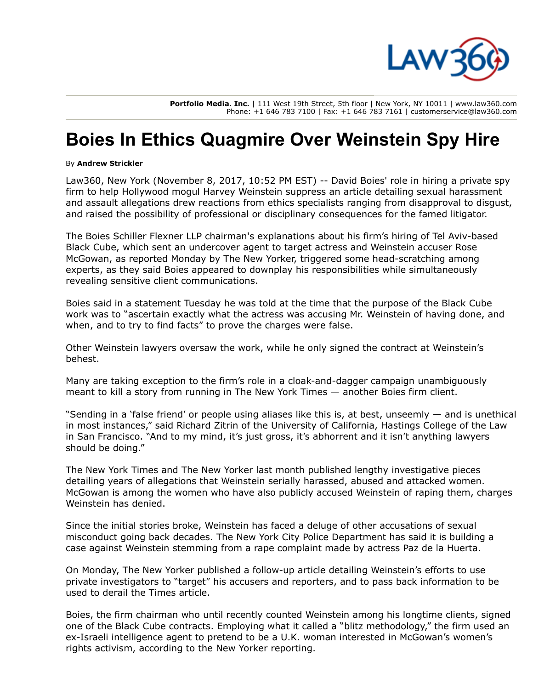

**Portfolio Media. Inc.** | 111 West 19th Street, 5th floor | New York, NY 10011 | www.law360.com Phone: +1 646 783 7100 | Fax: +1 646 783 7161 | customerservice@law360.com

## **Boies In Ethics Quagmire Over Weinstein Spy Hire**

## By **Andrew Strickler**

Law360, New York (November 8, 2017, 10:52 PM EST) -- David Boies' role in hiring a private spy firm to help Hollywood mogul Harvey Weinstein suppress an article detailing sexual harassment and assault allegations drew reactions from ethics specialists ranging from disapproval to disgust, and raised the possibility of professional or disciplinary consequences for the famed litigator.

The [Boies Schiller Flexner LLP](https://www.law360.com/firms/boies-schiller) chairman's explanations about his firm's hiring of Tel Aviv-based Black Cube, which sent an undercover agent to target actress and Weinstein accuser Rose McGowan, as reported Monday by The New Yorker, triggered some head-scratching among experts, as they said Boies appeared to downplay his responsibilities while simultaneously revealing sensitive client communications.

Boies said in a statement Tuesday he was told at the time that the purpose of the Black Cube work was to "ascertain exactly what the actress was accusing Mr. Weinstein of having done, and when, and to try to find facts" to prove the charges were false.

Other Weinstein lawyers oversaw the work, while he only signed the contract at Weinstein's behest.

Many are taking exception to the firm's role in a cloak-and-dagger campaign unambiguously meant to kill a story from running in The [New York Times —](https://www.law360.com/companies/new-york-times-co) another Boies firm client.

"Sending in a 'false friend' or people using aliases like this is, at best, unseemly — and is unethical in most instances," said Richard Zitrin of the University of California, Hastings College of the Law in San Francisco. "And to my mind, it's just gross, it's abhorrent and it isn't anything lawvers should be doing."

The New York Times and The New Yorker last month published lengthy investigative pieces detailing years of allegations that Weinstein serially harassed, abused and attacked women. McGowan is among the women who have also publicly accused Weinstein of raping them, charges Weinstein has denied.

Since the initial stories broke, Weinstein has faced a deluge of other accusations of sexual misconduct going back decades. The New York City Police Department has said it is building a case against Weinstein stemming from a rape complaint made by actress Paz de la Huerta.

On Monday, The New Yorker published a follow-up article detailing Weinstein's efforts to use private investigators to "target" his accusers and reporters, and to pass back information to be used to derail the Times article.

Boies, the firm chairman who until recently counted Weinstein among his longtime clients, signed one of the Black Cube contracts. Employing what it called a "blitz methodology," the firm used an ex-Israeli intelligence agent to pretend to be a U.K. woman interested in McGowan's women's rights activism, according to the New Yorker reporting.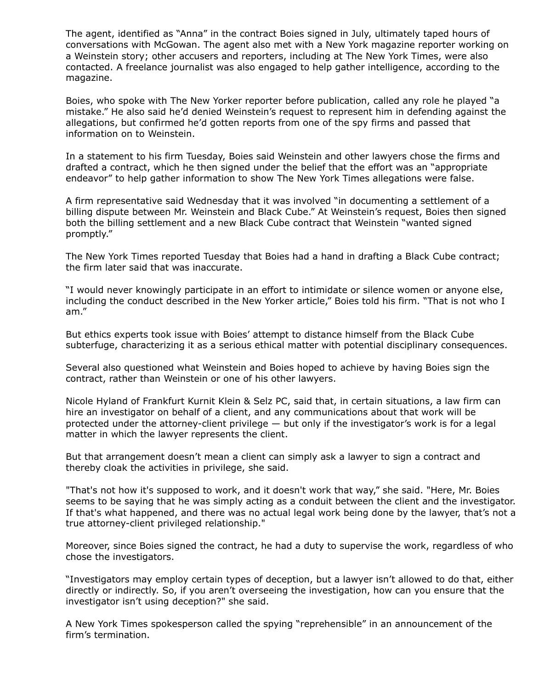The agent, identified as "Anna" in the contract Boies signed in July, ultimately taped hours of conversations with McGowan. The agent also met with a New York magazine reporter working on a Weinstein story; other accusers and reporters, including at The New York Times, were also contacted. A freelance journalist was also engaged to help gather intelligence, according to the magazine.

Boies, who spoke with The New Yorker reporter before publication, called any role he played "a mistake." He also said he'd denied Weinstein's request to represent him in defending against the allegations, but confirmed he'd gotten reports from one of the spy firms and passed that information on to Weinstein.

In a statement to his firm Tuesday, Boies said Weinstein and other lawyers chose the firms and drafted a contract, which he then signed under the belief that the effort was an "appropriate endeavor" to help gather information to show The New York Times allegations were false.

A firm representative said Wednesday that it was involved "in documenting a settlement of a billing dispute between Mr. Weinstein and Black Cube." At Weinstein's request, Boies then signed both the billing settlement and a new Black Cube contract that Weinstein "wanted signed promptly."

The New York Times reported Tuesday that Boies had a hand in drafting a Black Cube contract; the firm later said that was inaccurate.

"I would never knowingly participate in an effort to intimidate or silence women or anyone else, including the conduct described in the New Yorker article," Boies told his firm. "That is not who I am."

But ethics experts took issue with Boies' attempt to distance himself from the Black Cube subterfuge, characterizing it as a serious ethical matter with potential disciplinary consequences.

Several also questioned what Weinstein and Boies hoped to achieve by having Boies sign the contract, rather than Weinstein or one of his other lawyers.

Nicole Hyland of [Frankfurt Kurnit Klein & Selz PC](https://www.law360.com/firms/frankfurt-kurnit), said that, in certain situations, a law firm can hire an investigator on behalf of a client, and any communications about that work will be protected under the attorney-client privilege — but only if the investigator's work is for a legal matter in which the lawyer represents the client.

But that arrangement doesn't mean a client can simply ask a lawyer to sign a contract and thereby cloak the activities in privilege, she said.

"That's not how it's supposed to work, and it doesn't work that way," she said. "Here, Mr. Boies seems to be saying that he was simply acting as a conduit between the client and the investigator. If that's what happened, and there was no actual legal work being done by the lawyer, that's not a true attorney-client privileged relationship."

Moreover, since Boies signed the contract, he had a duty to supervise the work, regardless of who chose the investigators.

"Investigators may employ certain types of deception, but a lawyer isn't allowed to do that, either directly or indirectly. So, if you aren't overseeing the investigation, how can you ensure that the investigator isn't using deception?" she said.

A New York Times spokesperson called the spying "reprehensible" in an announcement of the firm's termination.